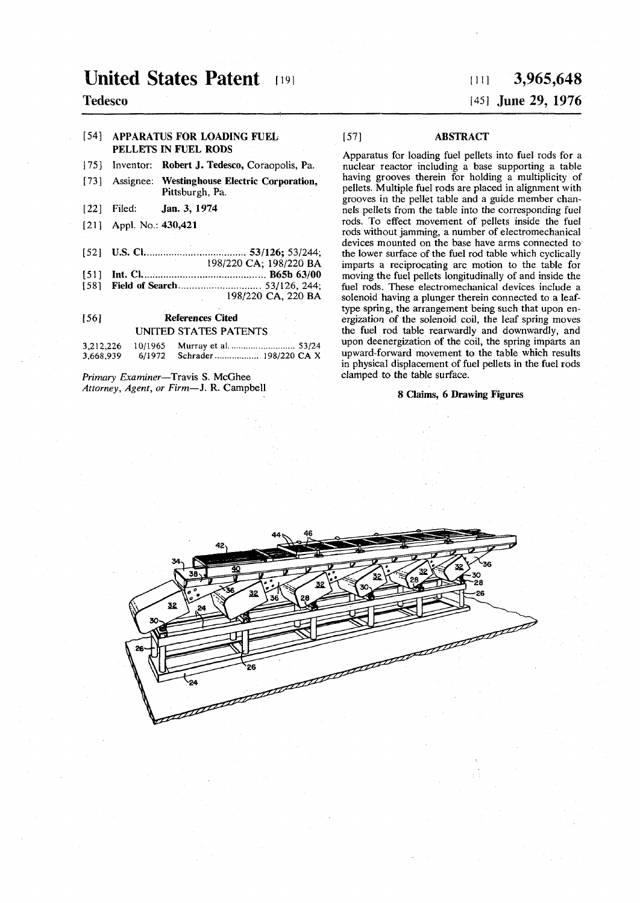## **United States Patent [19]**

#### **Tedesco**

#### [54] APPARATUS FOR LOADING FUEL PELLETS IN FUEL RODS

- [75] **Inventor:** Robert J. Tedesco, **Coraopolis,** Pa.
- **[73] Assignee:** Westinghouse Electric Corporation, **Pittsburgh, Pa.**
- **[22] Filed: Jan. 3, 1974**
- **[21] Appl. No.: 430,421**
- [52] U.S. CI '. 53/126; 53/244;
- **198/220 CA; 198/220 BA [51] Int. CI. .. B65b 63/00**
- [58] Field of Search 53/126, 244;
- **198/220 CA, 220 BA**

#### [56] References Cited **UNITED STATES PATENTS**

| 3,212,226 | 10/1965 | Murray et al.  53/24          |  |
|-----------|---------|-------------------------------|--|
| 3,668,939 |         | 6/1972 Schrader  198/220 CA X |  |

*Primary Examiner***—Travis S. McGhee**  *Attorney, Agent, or Firm***—J. R. Campbell** 

# $\mu$  **i** 3,965,648

### [45] June 29, 1976

#### [57] ABSTRACT

**Apparatus for loading fuel pellets into fuel rods for a nuclear reactor including a base supporting a table having grooves therein for holding a multiplicity of pellets. Multiple fuel rods are placed in alignment with grooves in the pellet table and a guide member channels pellets from the table into the corresponding fuel rods. To effect movement of pellets inside the fuel rods without jamming, a number of electromechanical devices mounted on the base have arms connected to the lower surface of the fuel rod table which cyclically imparts a reciprocating arc motion to the table for moving the fuel pellets longitudinally of and inside the fuel rods. These electromechanical devices include a solenoid having a plunger therein connected to a leaftype spring, the arrangement being such that upon energization of the solenoid coil, the leaf spring moves the fuel rod table rearwardly and downwardly, and upon deenergization of the coil, the spring imparts an upward-forward movement to the table which results in physical displacement of fuel pellets in the fuel rods clamped to the table surface.** 

#### 8 Claims, 6 Drawing Figures

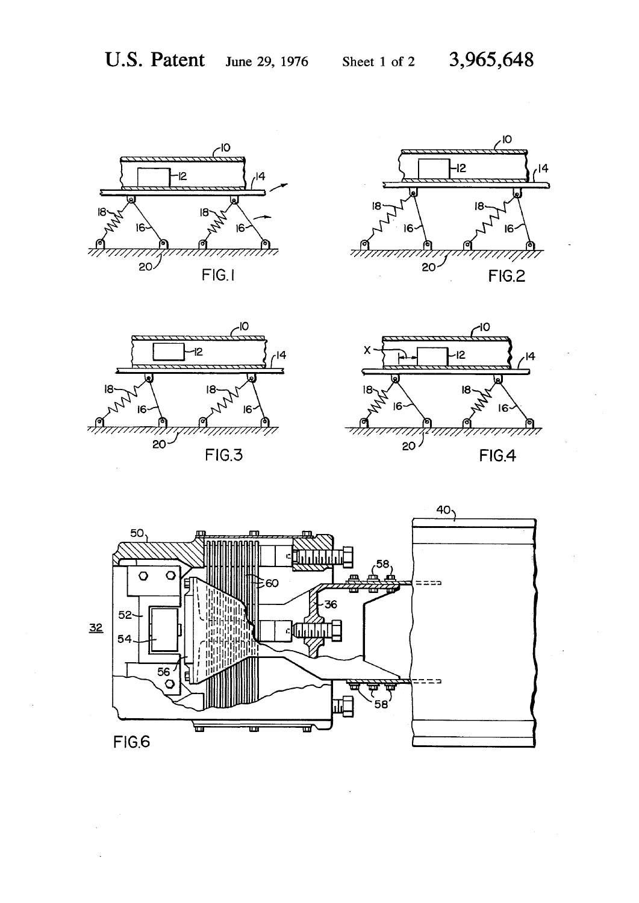







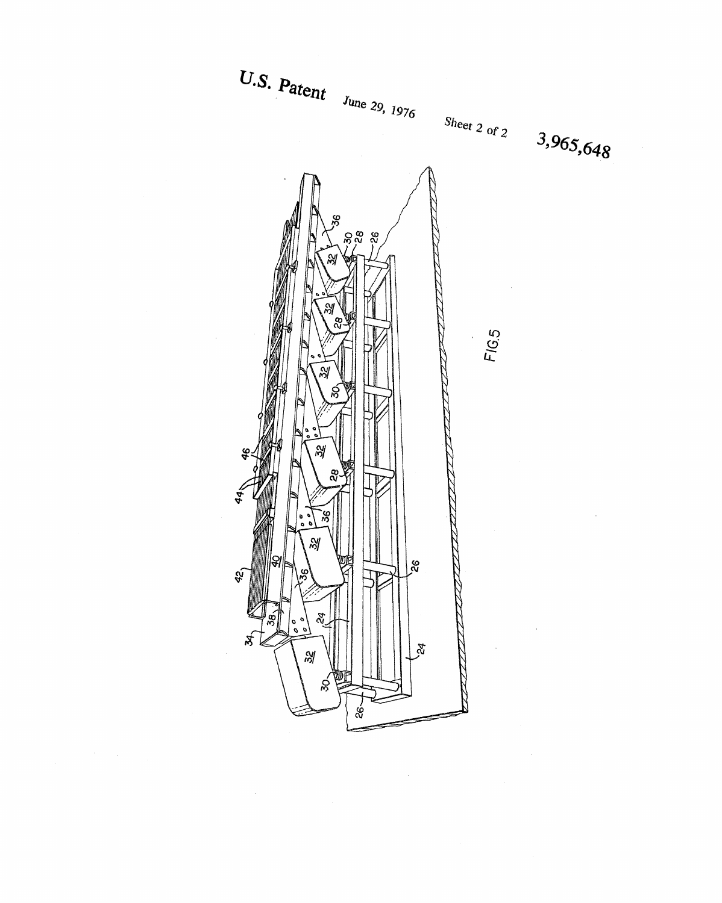

 $\mathcal{O}(\mathcal{O}_\mathcal{O})$ 

 $\sim$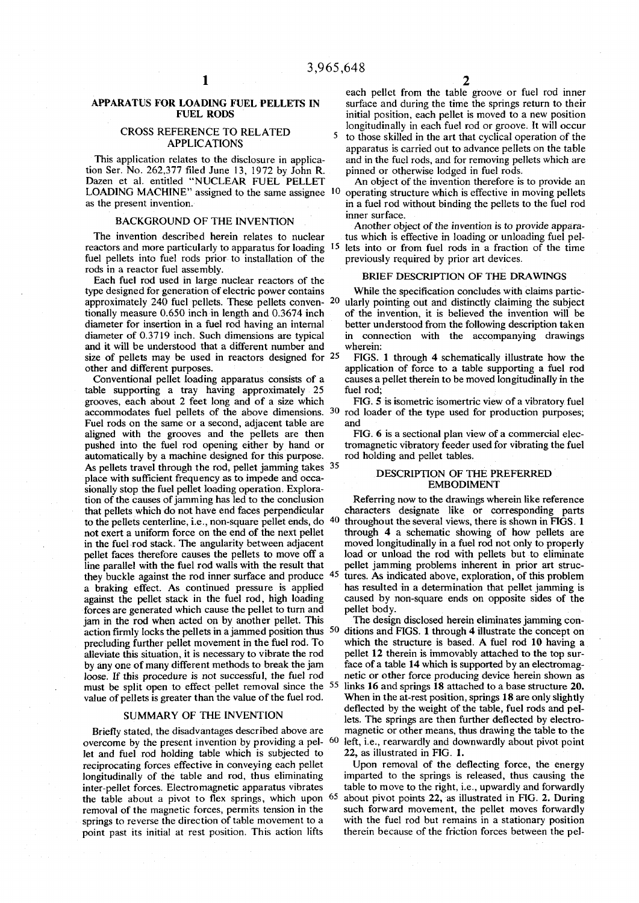#### **APPARATUS FOR LOADING FUEL PELLETS IN FUEL RODS**

#### **CROSS REFERENCE TO RELATED<sup>5</sup> APPLICATIONS**

**This application relates to the disclosure in application Ser. No. 262,377 filed June 13, 1972 by John R. Dazen et al. entitled "NUCLEAR FUEL PELLET LOADING MACHINE" assigned to the same assignee '0 as the present invention.** 

#### **BACKGROUND OF THE INVENTION**

**The invention described herein relates to nuclear reactors and more particularly to apparatus for loading 1 5 fuel pellets into fuel rods prior to installation of the rods in a reactor fuel assembly.** 

**Each fuel rod used in large nuclear reactors of the type designed for generation of electric power contains approximately 240 fuel pellets. These pellets conven- 2 0 tionally measure 0.650 inch in length and 0.3674 inch diameter for insertion in a fuel rod having an internal diameter of 0.3719 inch. Such dimensions are typical and it will be understood that a different number and size of pellets may be used in reactors designed for 2 5 other and different purposes.** 

**Conventional pellet loading apparatus consists of a table supporting a tray having approximately 25 grooves, each about 2 feet long and of a size which Fuel rods on the same or a second, adjacent table are aligned with the grooves and the pellets are then pushed into the fuel rod opening either by hand or automatically by a machine designed for this purpose. As pellets travel through the rod, pellet jamming takes 3 5 place with sufficient frequency as to impede and occasionally stop the fuel pellet loading operation. Exploration of the causes of jamming has led to the conclusion that pellets which do not have end faces perpendicular to the pellets centerline, i.e., non-square pellet ends, do 40 not exert a uniform force on the end of the next pellet in the fuel rod stack. The angularity between adjacent pellet faces therefore causes the pellets to move off a line parallel with the fuel rod walls with the result that they buckle against the rod inner surface and produce 4 5 a braking effect. As continued pressure is applied against the pellet stack in the fuel rod, high loading forces are generated which cause the pellet to turn and jam in the rod when acted on by another pellet. This action firmly locks the pellets in a jammed position thus 5 0 precluding further pellet movement in the fuel rod. To alleviate this situation, it is necessary to vibrate the rod by any one of many different methods to break the jam loose. If this procedure is not successful, the fuel rod must be split open to effect pellet removal since the** 55 **value of pellets is greater than the value of the fuel rod.** 

#### **SUMMARY OF THE INVENTION**

**Briefly stated, the disadvantages described above are overcome by the present invention by providing a pel- 6 0 let and fuel rod holding table which is subjected to reciprocating forces effective in conveying each pellet longitudinally of the table and rod, thus eliminating inter-pellet forces. Electromagnetic apparatus vibrates the table about a pivot to flex springs, which upon 6 5 removal of the magnetic forces, permits tension in the springs to reverse the direction of table movement to a point past its initial at rest position. This action lifts** 

**each pellet from the table groove or fuel rod inner surface and during the time the springs return to their initial position, each pellet is moved to a new position longitudinally in each fuel rod or groove. It will occur** 

**to those skilled in the art that cyclical operation of the apparatus is carried out to advance pellets on the table and in the fuel rods, and for removing pellets which are pinned or otherwise lodged in fuel rods.** 

**An object of the invention therefore is to provide an operating structure which is effective in moving pellets in a fuel rod without binding the pellets to the fuel rod inner surface.** 

**Another object of the invention is to provide apparatus which is effective in loading or unloading fuel pellets into or from fuel rods in a fraction of the time previously required by prior art devices.** 

#### **BRIEF DESCRIPTION OF THE DRAWINGS**

**While the specification concludes with claims particularly pointing out and distinctly claiming the subject of the invention, it is believed the invention will be better understood from the following description taken in connection with the accompanying drawings wherein:** 

**FIGS. 1 through 4 schematically illustrate how the application of force to a table supporting a fuel rod causes a pellet therein to be moved longitudinally in the fuel rod;** 

accommodates fuel pellets of the above dimensions. <sup>30</sup> rod loader of the type used for production purposes; **FIG. 5 is isometric isomertric view of a vibratory fuel and** 

> **FIG. 6 is a sectional plan view of a commercial electromagnetic vibratory feeder used for vibrating the fuel rod holding and pellet tables.**

#### **DESCRIPTION OF THE PREFERRED EMBODIMENT**

**Referring now to the drawings wherein like reference characters designate like or corresponding parts throughout the several views, there is shown in FIGS. 1 through 4 a schematic showing of how pellets are moved longitudinally in a fuel rod not only to properly load or unload the rod with pellets but to eliminate pellet jamming problems inherent in prior art structures. As indicated above, exploration, of this problem has resulted in a determination that pellet jamming is caused by non-square ends on opposite sides of the pellet body.** 

**The design disclosed herein eliminates jamming conditions and FIGS. 1 through 4 illustrate the concept on which the structure is based. A fuel rod 10 having a pellet 12 therein is immovably attached to the top surface of a table 14 which is supported by an electromagnetic or other force producing device herein shown as links 16 and springs 18 attached to a base structure 20. When in the at-rest position, springs 18 are only slightly deflected by the weight of the table, fuel rods and pellets. The springs are then further deflected by electromagnetic or other means, thus drawing the table to the left, i.e., rearwardly and downwardly about pivot point 22, as illustrated in FIG. 1.** 

**Upon removal of the deflecting force, the energy imparted to the springs is released, thus causing the table to move to the right, i.e., upwardly and forwardly about pivot points 22, as illustrated in FIG. 2. During such forward movement, the pellet moves forwardly with the fuel rod but remains in a stationary position therein because of the friction forces between the pel-**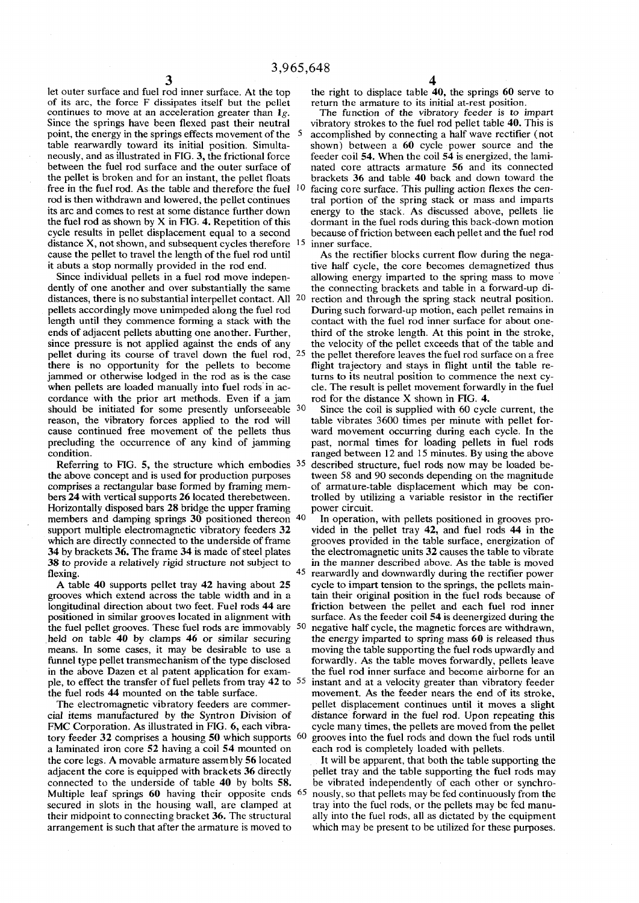**let outer surface and fuel rod inner surface. At the top of its arc, the force F dissipates itself but the pellet continues to move at an acceleration greater than** *lg.*  **Since the springs have been flexed past their neutral point, the energy in the springs effects movement of the 5 table rearwardly toward its initial position. Simultaneously, and as illustrated in FIG. 3, the frictional force between the fuel rod surface and the outer surface of the pellet is broken and for an instant, the pellet floats free in the fuel rod. As the table and therefore the fuel 1 0 rod is then withdrawn and lowered, the pellet continues its arc and comes to rest at some distance further down the fuel rod as shown by X in FIG. 4. Repetition of this cycle results in pellet displacement equal to a second distance X, not shown, and subsequent cycles therefore 1 5 cause the pellet to travel the length of the fuel rod until it abuts a stop normally provided in the rod end.** 

**Since individual pellets in a fuel rod move independently of one another and over substantially the same distances, there is no substantial interpellet contact. All 2 0 pellets accordingly move unimpeded along the fuel rod length until they commence forming a stack with the ends of adjacent pellets abutting one another. Further, since pressure is not applied against the ends of any**  pellet during its course of travel down the fuel rod, 25 **there is no opportunity for the pellets to become jammed or otherwise lodged in the rod as is the case when pellets are loaded manually into fuel rods in accordance with the prior art methods. Even if a jam**  should be initiated for some presently unforseeable 30 **reason, the vibratory forces applied to the rod will cause continued free movement of the pellets thus precluding the occurrence of any kind of jamming condition.** 

**Referring to FIG. 5, the structure which embodies 3 5 the above concept and is used for production purposes comprises a rectangular base formed by framing members 24 with vertical supports 26 located therebetween. Horizontally disposed bars 28 bridge the upper framing**  members and damping springs 30 positioned thereon 40 **support multiple electromagnetic vibratory feeders 32 which are directly connected to the underside of frame 34 by brackets 36. The frame 34 is made of steel plates 38 to provide a relatively rigid structure not subject to flexing.**  $\frac{1}{45}$ 

**A table 40 supports pellet tray 42 having about 25 grooves which extend across the table width and in a longitudinal direction about two feet. Fuel rods 44 are positioned in similar grooves located in alignment with the fuel pellet grooves. These fuel rods are immovably 5 0 held on table 40 by clamps 46 or similar securing means. In some cases, it may be desirable to use a funnel type pellet transmechanism of the type disclosed in the above Dazen et al patent application for example, to effect the transfer of fuel pellets from tray 42 to 5 5 the fuel rods 44 mounted on the table surface.** 

**The electromagnetic vibratory feeders are commercial items manufactured by the Syntron Division of FMC Corporation. As illustrated in FIG. 6, each vibratory feeder 32 comprises a housing 50 which supports 6 0 a laminated iron core 52 having a coil 54 mounted on the core legs. A movable armature assembly 56 located adjacent the core is equipped with brackets 36 directly connected to the underside of table 40 by bolts 58. Multiple leaf springs 60 having their opposite ends** 65 **secured in slots in the housing wall, are clamped at their midpoint to connecting bracket 36. The structural arrangement is such that after the armature is moved to** 

**the right to displace table 40, the springs 60 serve to return the armature to its initial at-rest position.** 

**The function of the vibratory feeder is to impart vibratory strokes to the fuel rod pellet table 40. This is accomplished by connecting a half wave rectifier (not shown) between a 60 cycle power source and the feeder coil 54. When the coil 54 is energized, the laminated core attracts armature 56 and its connected brackets 36 and table 40 back and down toward the facing core surface. This pulling action flexes the central portion of the spring stack or mass and imparts energy to the stack. As discussed above, pellets lie dormant in the fuel rods during this back-down motion because of friction between each pellet and the fuel rod inner surface.** 

**As the rectifier blocks current flow during the negative half cycle, the core becomes demagnetized thus allowing energy imparted to the spring mass to move the connecting brackets and table in a forward-up direction and through the spring stack neutral position. During such forward-up motion, each pellet remains in contact with the fuel rod inner surface for about onethird of the stroke length. At this point in the stroke, the velocity of the pellet exceeds that of the table and the pellet therefore leaves the fuel rod surface on a free flight trajectory and stays in flight until the table returns to its neutral position to commence the next cycle. The result is pellet movement forwardly in the fuel rod for the distance X shown in FIG. 4.** 

**Since the coil is supplied with 60 cycle current, the table vibrates 3600 times per minute with pellet forward movement occurring during each cycle. In the past, normal times for loading pellets in fuel rods ranged between 12 and 15 minutes. By using the above described structure, fuel rods now may be loaded between 58 and 90 seconds depending on the magnitude of armature-table displacement which may be controlled by utilizing a variable resistor in the rectifier power circuit.** 

**In operation, with pellets positioned in grooves provided in the pellet tray 42, and fuel rods 44 in the grooves provided in the table surface, energization of the electromagnetic units 32 causes the table to vibrate in the manner described above. As the table is moved rearwardly and downwardly during the rectifier power cycle to impart tension to the springs, the pellets maintain their original position in the fuel rods because of friction between the pellet and each fuel rod inner surface. As the feeder coil 54 is deenergized during the negative half cycle, the magnetic forces are withdrawn, the energy imparted to spring mass 60 is released thus moving the table supporting the fuel rods upwardly and forwardly. As the table moves forwardly, pellets leave the fuel rod inner surface and become airborne for an instant and at a velocity greater than vibratory feeder movement. As the feeder nears the end of its stroke, pellet displacement continues until it moves a slight distance forward in the fuel rod. Upon repeating this cycle many times, the pellets are moved from the pellet grooves into the fuel rods and down the fuel rods until each rod is completely loaded with pellets.** 

**It will be apparent, that both the table supporting the pellet tray and the table supporting the fuel rods may be vibrated independently of each other or synchronously, so that pellets may be fed continuously from the tray into the fuel rods, or the pellets may be fed manually into the fuel rods, all as dictated by the equipment which may be present to be utilized for these purposes.**